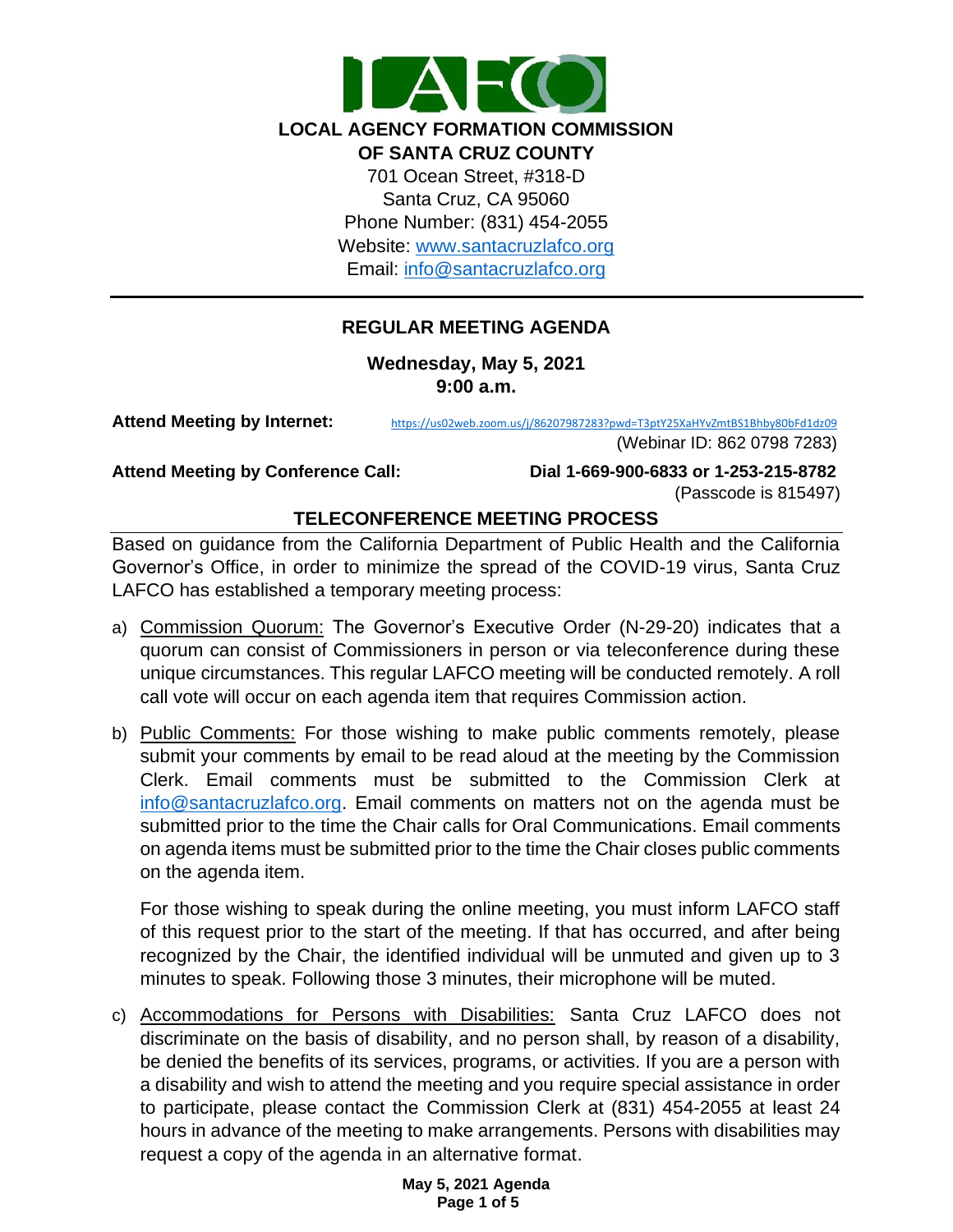

Email: [info@santacruzlafco.org](mailto:info@santacruzlafco.org)

## **REGULAR MEETING AGENDA**

**Wednesday, May 5, 2021 9:00 a.m.**

**Attend Meeting by Internet:** <https://us02web.zoom.us/j/86207987283?pwd=T3ptY25XaHYvZmtBS1Bhby80bFd1dz09>

(Webinar ID: 862 0798 7283)

**Attend Meeting by Conference Call: Dial 1-669-900-6833 or 1-253-215-8782**  (Passcode is 815497)

## **TELECONFERENCE MEETING PROCESS**

Based on guidance from the California Department of Public Health and the California Governor's Office, in order to minimize the spread of the COVID-19 virus, Santa Cruz LAFCO has established a temporary meeting process:

- a) Commission Quorum: The Governor's Executive Order (N-29-20) indicates that a quorum can consist of Commissioners in person or via teleconference during these unique circumstances. This regular LAFCO meeting will be conducted remotely. A roll call vote will occur on each agenda item that requires Commission action.
- b) Public Comments: For those wishing to make public comments remotely, please submit your comments by email to be read aloud at the meeting by the Commission Clerk. Email comments must be submitted to the Commission Clerk at [info@santacruzlafco.org.](mailto:info@santacruzlafco.org) Email comments on matters not on the agenda must be submitted prior to the time the Chair calls for Oral Communications. Email comments on agenda items must be submitted prior to the time the Chair closes public comments on the agenda item.

For those wishing to speak during the online meeting, you must inform LAFCO staff of this request prior to the start of the meeting. If that has occurred, and after being recognized by the Chair, the identified individual will be unmuted and given up to 3 minutes to speak. Following those 3 minutes, their microphone will be muted.

c) Accommodations for Persons with Disabilities: Santa Cruz LAFCO does not discriminate on the basis of disability, and no person shall, by reason of a disability, be denied the benefits of its services, programs, or activities. If you are a person with a disability and wish to attend the meeting and you require special assistance in order to participate, please contact the Commission Clerk at (831) 454-2055 at least 24 hours in advance of the meeting to make arrangements. Persons with disabilities may request a copy of the agenda in an alternative format.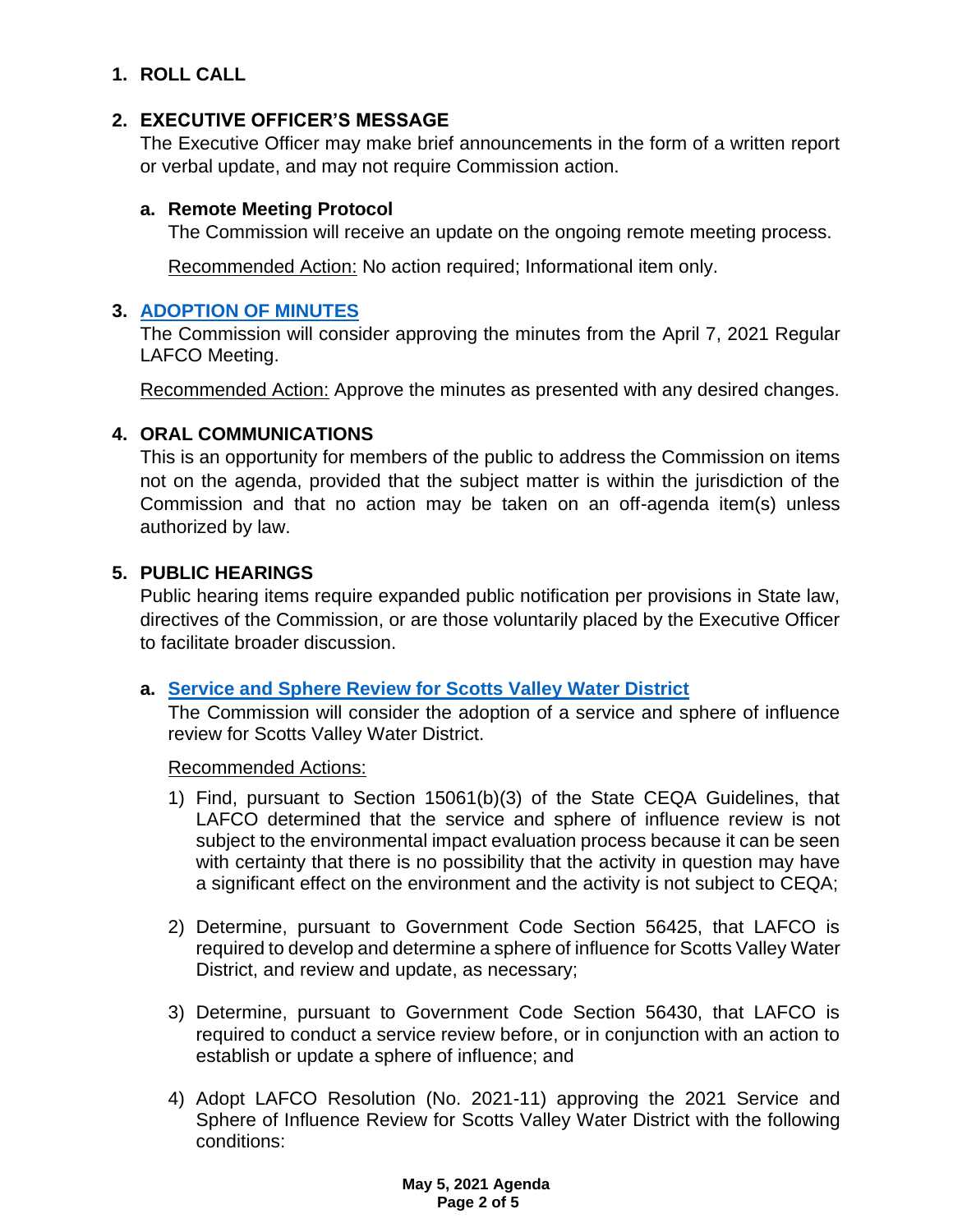# **1. ROLL CALL**

## **2. EXECUTIVE OFFICER'S MESSAGE**

The Executive Officer may make brief announcements in the form of a written report or verbal update, and may not require Commission action.

### **a. Remote Meeting Protocol**

The Commission will receive an update on the ongoing remote meeting process.

Recommended Action: No action required; Informational item only.

## **3. [ADOPTION OF MINUTES](https://www.santacruzlafco.org/wp-content/uploads/2021/04/3.0-Draft-Minutes-April-7-Meeting.pdf)**

The Commission will consider approving the minutes from the April 7, 2021 Regular LAFCO Meeting.

Recommended Action: Approve the minutes as presented with any desired changes.

## **4. ORAL COMMUNICATIONS**

This is an opportunity for members of the public to address the Commission on items not on the agenda, provided that the subject matter is within the jurisdiction of the Commission and that no action may be taken on an off-agenda item(s) unless authorized by law.

## **5. PUBLIC HEARINGS**

Public hearing items require expanded public notification per provisions in State law, directives of the Commission, or are those voluntarily placed by the Executive Officer to facilitate broader discussion.

### **a. [Service and Sphere Review for Scotts Valley Water District](https://www.santacruzlafco.org/wp-content/uploads/2021/04/5a.0-SVWD-MSR-Staff-Report-Linked.pdf)**

The Commission will consider the adoption of a service and sphere of influence review for Scotts Valley Water District.

### Recommended Actions:

- 1) Find, pursuant to Section 15061(b)(3) of the State CEQA Guidelines, that LAFCO determined that the service and sphere of influence review is not subject to the environmental impact evaluation process because it can be seen with certainty that there is no possibility that the activity in question may have a significant effect on the environment and the activity is not subject to CEQA;
- 2) Determine, pursuant to Government Code Section 56425, that LAFCO is required to develop and determine a sphere of influence for Scotts Valley Water District, and review and update, as necessary;
- 3) Determine, pursuant to Government Code Section 56430, that LAFCO is required to conduct a service review before, or in conjunction with an action to establish or update a sphere of influence; and
- 4) Adopt LAFCO Resolution (No. 2021-11) approving the 2021 Service and Sphere of Influence Review for Scotts Valley Water District with the following conditions: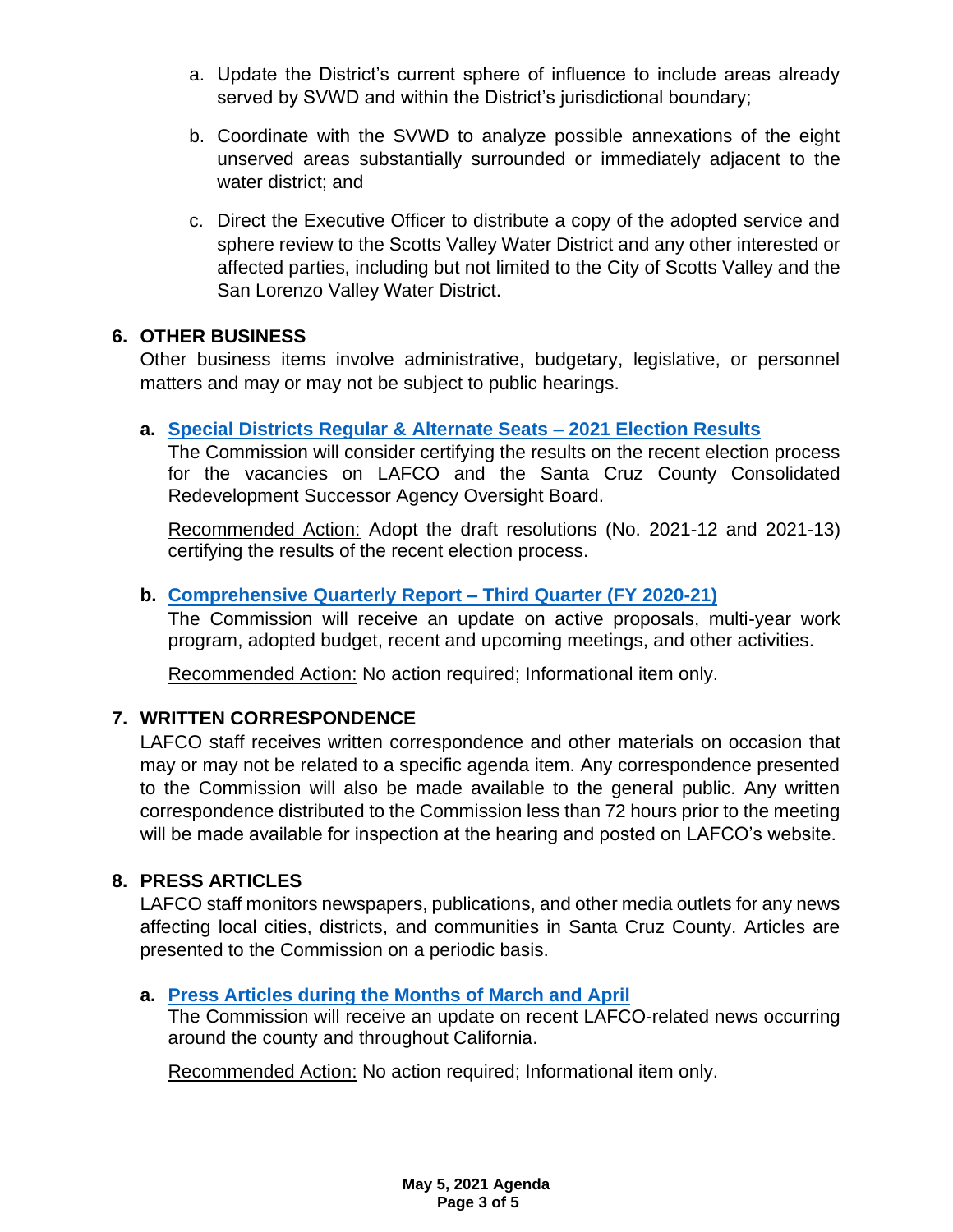- a. Update the District's current sphere of influence to include areas already served by SVWD and within the District's jurisdictional boundary;
- b. Coordinate with the SVWD to analyze possible annexations of the eight unserved areas substantially surrounded or immediately adjacent to the water district; and
- c. Direct the Executive Officer to distribute a copy of the adopted service and sphere review to the Scotts Valley Water District and any other interested or affected parties, including but not limited to the City of Scotts Valley and the San Lorenzo Valley Water District.

## **6. OTHER BUSINESS**

Other business items involve administrative, budgetary, legislative, or personnel matters and may or may not be subject to public hearings.

## **a. [Special Districts Regular & Alternate Seats –](https://www.santacruzlafco.org/wp-content/uploads/2021/04/6a.0-District-Elections-Staff-Report-Linked.pdf) 2021 Election Results**

The Commission will consider certifying the results on the recent election process for the vacancies on LAFCO and the Santa Cruz County Consolidated Redevelopment Successor Agency Oversight Board.

Recommended Action: Adopt the draft resolutions (No. 2021-12 and 2021-13) certifying the results of the recent election process.

## **b. [Comprehensive Quarterly Report –](https://www.santacruzlafco.org/wp-content/uploads/2021/04/6b.0-Comp-Qrtly-Update-Staff-Report-Linked.pdf) Third Quarter (FY 2020-21)**

The Commission will receive an update on active proposals, multi-year work program, adopted budget, recent and upcoming meetings, and other activities.

Recommended Action: No action required; Informational item only.

## **7. WRITTEN CORRESPONDENCE**

LAFCO staff receives written correspondence and other materials on occasion that may or may not be related to a specific agenda item. Any correspondence presented to the Commission will also be made available to the general public. Any written correspondence distributed to the Commission less than 72 hours prior to the meeting will be made available for inspection at the hearing and posted on LAFCO's website.

## **8. PRESS ARTICLES**

LAFCO staff monitors newspapers, publications, and other media outlets for any news affecting local cities, districts, and communities in Santa Cruz County. Articles are presented to the Commission on a periodic basis.

## **a. [Press Articles during the Months of March](https://www.santacruzlafco.org/wp-content/uploads/2021/04/8a.0-Press-Articles-Staff-Report-Linked.pdf) and April**

The Commission will receive an update on recent LAFCO-related news occurring around the county and throughout California.

Recommended Action: No action required; Informational item only.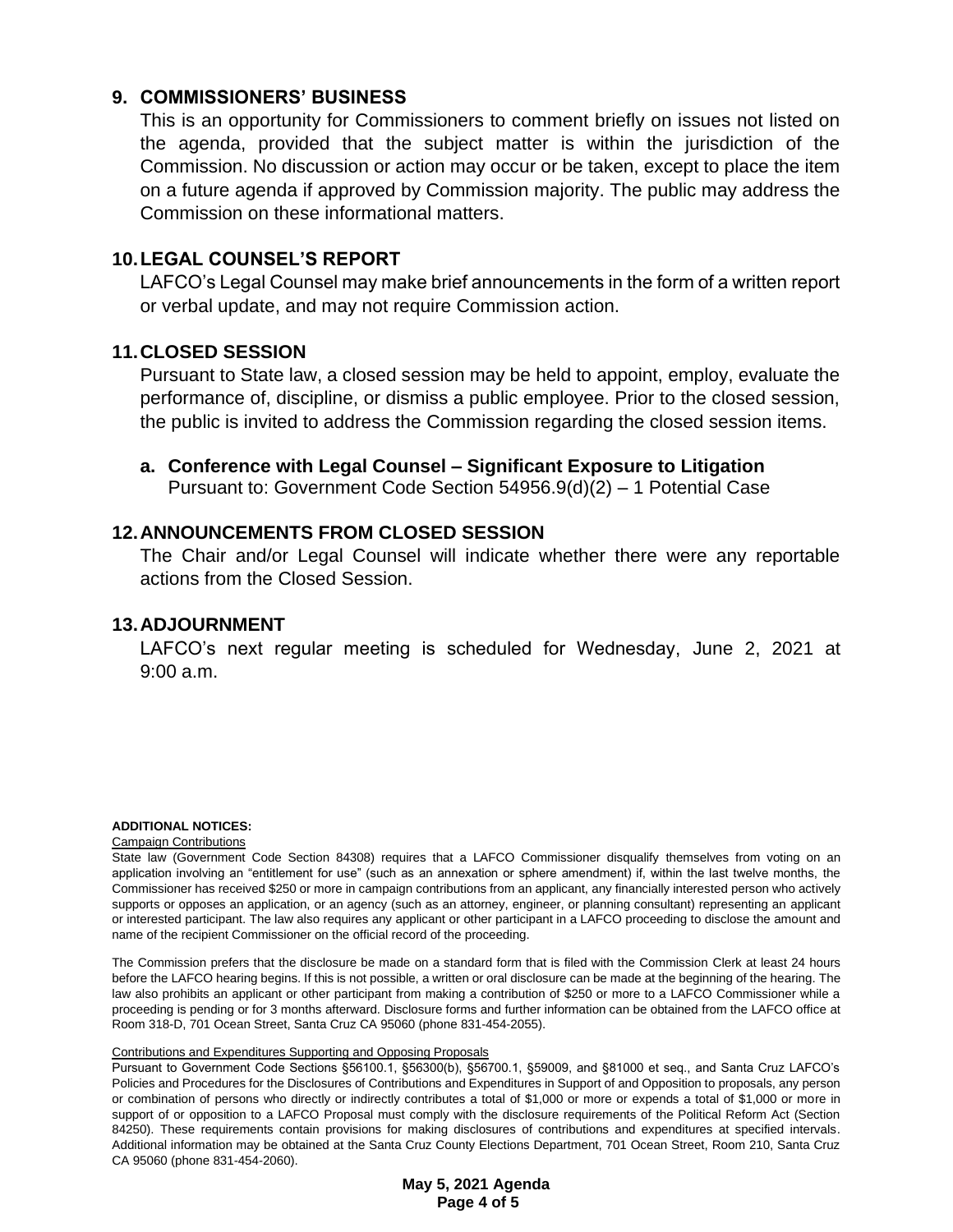## **9. COMMISSIONERS' BUSINESS**

This is an opportunity for Commissioners to comment briefly on issues not listed on the agenda, provided that the subject matter is within the jurisdiction of the Commission. No discussion or action may occur or be taken, except to place the item on a future agenda if approved by Commission majority. The public may address the Commission on these informational matters.

## **10.LEGAL COUNSEL'S REPORT**

LAFCO's Legal Counsel may make brief announcements in the form of a written report or verbal update, and may not require Commission action.

### **11.CLOSED SESSION**

Pursuant to State law, a closed session may be held to appoint, employ, evaluate the performance of, discipline, or dismiss a public employee. Prior to the closed session, the public is invited to address the Commission regarding the closed session items.

**a. Conference with Legal Counsel – Significant Exposure to Litigation** Pursuant to: Government Code Section 54956.9(d)(2) – 1 Potential Case

## **12.ANNOUNCEMENTS FROM CLOSED SESSION**

The Chair and/or Legal Counsel will indicate whether there were any reportable actions from the Closed Session.

### **13.ADJOURNMENT**

LAFCO's next regular meeting is scheduled for Wednesday, June 2, 2021 at 9:00 a.m.

#### **ADDITIONAL NOTICES:**

#### Campaign Contributions

State law (Government Code Section 84308) requires that a LAFCO Commissioner disqualify themselves from voting on an application involving an "entitlement for use" (such as an annexation or sphere amendment) if, within the last twelve months, the Commissioner has received \$250 or more in campaign contributions from an applicant, any financially interested person who actively supports or opposes an application, or an agency (such as an attorney, engineer, or planning consultant) representing an applicant or interested participant. The law also requires any applicant or other participant in a LAFCO proceeding to disclose the amount and name of the recipient Commissioner on the official record of the proceeding.

The Commission prefers that the disclosure be made on a standard form that is filed with the Commission Clerk at least 24 hours before the LAFCO hearing begins. If this is not possible, a written or oral disclosure can be made at the beginning of the hearing. The law also prohibits an applicant or other participant from making a contribution of \$250 or more to a LAFCO Commissioner while a proceeding is pending or for 3 months afterward. Disclosure forms and further information can be obtained from the LAFCO office at Room 318-D, 701 Ocean Street, Santa Cruz CA 95060 (phone 831-454-2055).

#### Contributions and Expenditures Supporting and Opposing Proposals

Pursuant to Government Code Sections §56100.1, §56300(b), §56700.1, §59009, and §81000 et seq., and Santa Cruz LAFCO's Policies and Procedures for the Disclosures of Contributions and Expenditures in Support of and Opposition to proposals, any person or combination of persons who directly or indirectly contributes a total of \$1,000 or more or expends a total of \$1,000 or more in support of or opposition to a LAFCO Proposal must comply with the disclosure requirements of the Political Reform Act (Section 84250). These requirements contain provisions for making disclosures of contributions and expenditures at specified intervals. Additional information may be obtained at the Santa Cruz County Elections Department, 701 Ocean Street, Room 210, Santa Cruz CA 95060 (phone 831-454-2060).

> **May 5, 2021 Agenda Page 4 of 5**